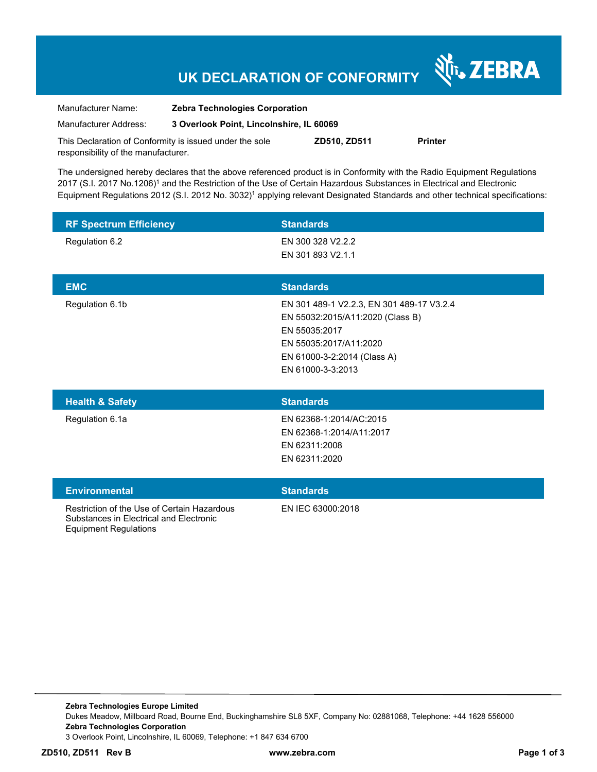# **UK DECLARATION OF CONFORMITY**

र्शे<sub>ं</sub> ZEBRA

| Manufacturer Name:                                      | <b>Zebra Technologies Corporation</b>    |              |                |
|---------------------------------------------------------|------------------------------------------|--------------|----------------|
| Manufacturer Address:                                   | 3 Overlook Point, Lincolnshire, IL 60069 |              |                |
| This Declaration of Conformity is issued under the sole |                                          | ZD510, ZD511 | <b>Printer</b> |

The undersigned hereby declares that the above referenced product is in Conformity with the Radio Equipment Regulations 2017 (S.I. 2017 No.1206)<sup>1</sup> and the Restriction of the Use of Certain Hazardous Substances in Electrical and Electronic Equipment Regulations 2012 (S.I. 2012 No. 3032)<sup>1</sup> applying relevant Designated Standards and other technical specifications:

| <b>RF Spectrum Efficiency</b> | <b>Standards</b>                                                                                                                                                             |
|-------------------------------|------------------------------------------------------------------------------------------------------------------------------------------------------------------------------|
| Regulation 6.2                | EN 300 328 V2.2.2<br>EN 301 893 V2.1.1                                                                                                                                       |
| <b>EMC</b>                    | <b>Standards</b>                                                                                                                                                             |
| Regulation 6.1b               | EN 301 489-1 V2.2.3, EN 301 489-17 V3.2.4<br>EN 55032:2015/A11:2020 (Class B)<br>EN 55035:2017<br>EN 55035:2017/A11:2020<br>EN 61000-3-2:2014 (Class A)<br>EN 61000-3-3:2013 |
| <b>Health &amp; Safety</b>    | <b>Standards</b>                                                                                                                                                             |
| Regulation 6.1a               | EN 62368-1:2014/AC:2015<br>EN 62368-1:2014/A11:2017<br>EN 62311:2008<br>EN 62311:2020                                                                                        |

#### **Environmental Standards**

responsibility of the manufacturer.

Restriction of the Use of Certain Hazardous Substances in Electrical and Electronic Equipment Regulations

EN IEC 63000:2018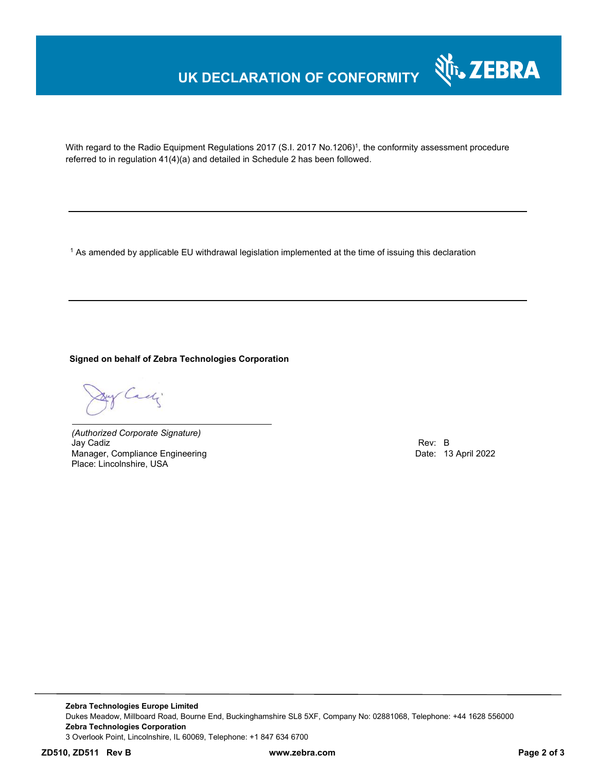## **UK DECLARATION OF CONFORMITY**



With regard to the Radio Equipment Regulations 2017 (S.I. 2017 No.1206)<sup>1</sup>, the conformity assessment procedure referred to in regulation 41(4)(a) and detailed in Schedule 2 has been followed.

 $^{\rm 1}$  As amended by applicable EU withdrawal legislation implemented at the time of issuing this declaration

**Signed on behalf of Zebra Technologies Corporation** 

Cady.

*(Authorized Corporate Signature)* Jay Cadiz Rev: B Manager, Compliance Engineering **Date: 13 April 2022** Place: Lincolnshire, USA